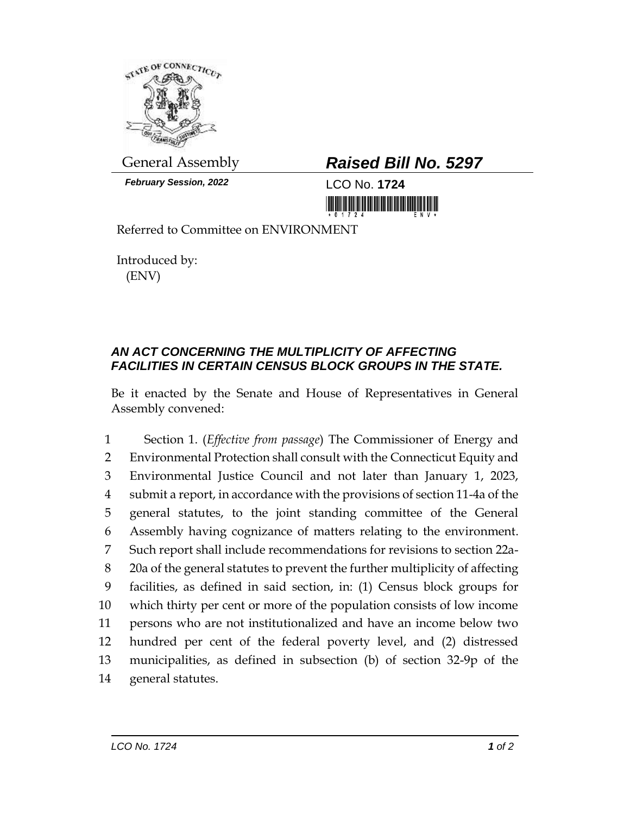

*February Session, 2022* LCO No. **1724**

## General Assembly *Raised Bill No. 5297*

Referred to Committee on ENVIRONMENT

Introduced by: (ENV)

## *AN ACT CONCERNING THE MULTIPLICITY OF AFFECTING FACILITIES IN CERTAIN CENSUS BLOCK GROUPS IN THE STATE.*

Be it enacted by the Senate and House of Representatives in General Assembly convened:

 Section 1. (*Effective from passage*) The Commissioner of Energy and Environmental Protection shall consult with the Connecticut Equity and Environmental Justice Council and not later than January 1, 2023, submit a report, in accordance with the provisions of section 11-4a of the general statutes, to the joint standing committee of the General Assembly having cognizance of matters relating to the environment. Such report shall include recommendations for revisions to section 22a- 20a of the general statutes to prevent the further multiplicity of affecting facilities, as defined in said section, in: (1) Census block groups for which thirty per cent or more of the population consists of low income persons who are not institutionalized and have an income below two hundred per cent of the federal poverty level, and (2) distressed municipalities, as defined in subsection (b) of section 32-9p of the general statutes.